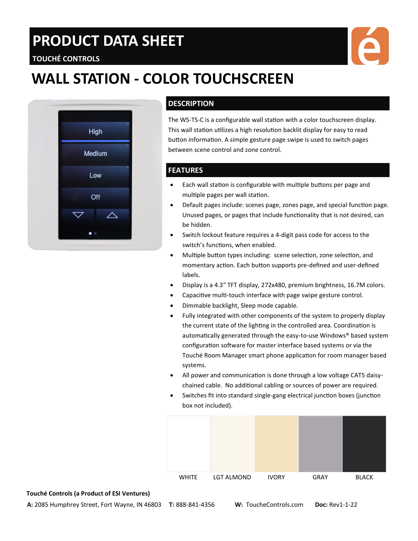# **PRODUCT DATA SHEET**

# **WALL STATION - COLOR TOUCHSCREEN**



**TOUCHÉ CONTROLS**

### **DESCRIPTION**

The WS-TS-C is a configurable wall station with a color touchscreen display. This wall station utilizes a high resolution backlit display for easy to read button information. A simple gesture page swipe is used to switch pages between scene control and zone control.

### **FEATURES**

- Each wall station is configurable with multiple buttons per page and multiple pages per wall station.
- Default pages include: scenes page, zones page, and special function page. Unused pages, or pages that include functionality that is not desired, can be hidden.
- Switch lockout feature requires a 4-digit pass code for access to the switch's functions, when enabled.
- Multiple button types including: scene selection, zone selection, and momentary action. Each button supports pre-defined and user-defined labels.
- Display is a 4.3″ TFT display, 272x480, premium brightness, 16.7M colors.
- Capacitive multi-touch interface with page swipe gesture control.
- Dimmable backlight, Sleep mode capable.
- Fully integrated with other components of the system to properly display the current state of the lighting in the controlled area. Coordination is automatically generated through the easy-to-use Windows® based system configuration software for master interface based systems or via the Touché Room Manager smart phone application for room manager based systems.
- All power and communication is done through a low voltage CAT5 daisychained cable. No additional cabling or sources of power are required.
- Switches fit into standard single-gang electrical junction boxes (junction box not included).



#### **Touché Controls (a Product of ESI Ventures)**

**A:** 2085 Humphrey Street, Fort Wayne, IN 46803 **T:** 888-841-4356 **W:** ToucheControls.com **Doc:** Rev1-1-22